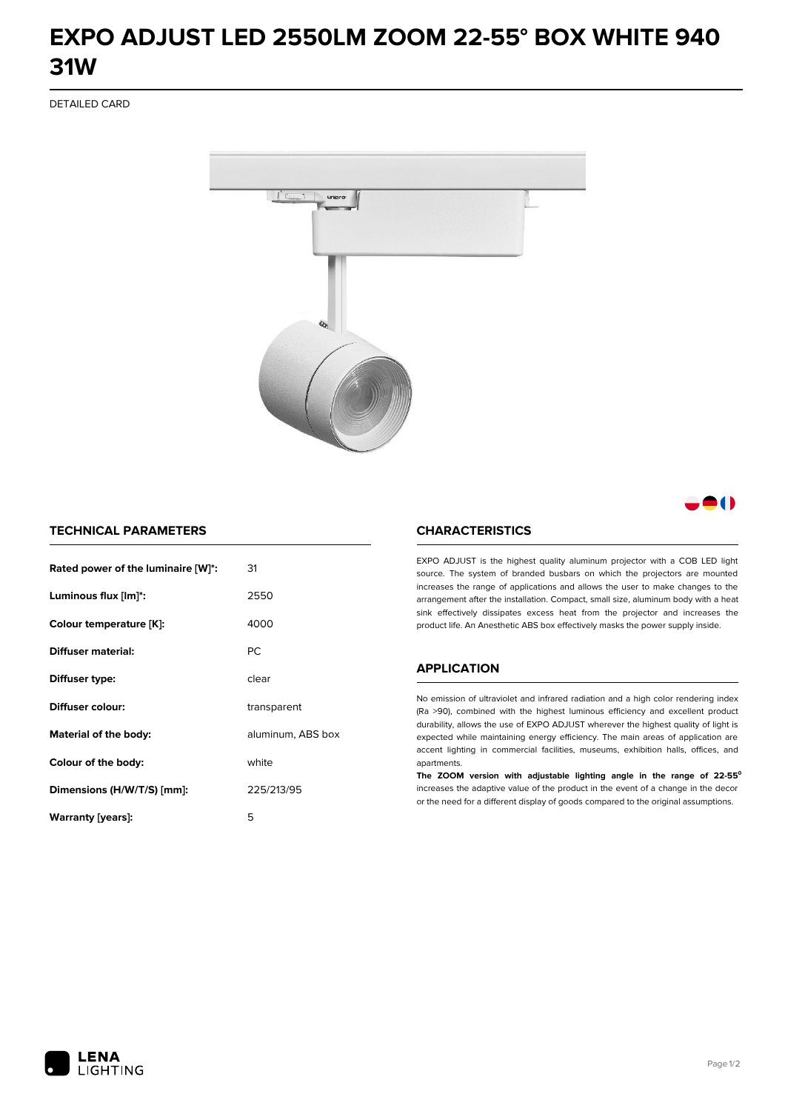# **EXPO ADJUST LED 2550LM ZOOM 22-55° BOX WHITE 940 31W**

DETAILED CARD



8 ( )

## **TECHNICAL PARAMETERS**

| Rated power of the luminaire [W]*: | 31                |
|------------------------------------|-------------------|
| Luminous flux [lm]*:               | 2550              |
| Colour temperature [K]:            | 4000              |
| Diffuser material:                 | <b>PC</b>         |
| Diffuser type:                     | clear             |
| Diffuser colour:                   | transparent       |
| Material of the body:              | aluminum, ABS box |
| Colour of the body:                | white             |
| Dimensions (H/W/T/S) [mm]:         | 225/213/95        |
| Warranty [years]:                  | 5                 |

#### **CHARACTERISTICS**

EXPO ADJUST is the highest quality aluminum projector with a COB LED light source. The system of branded busbars on which the projectors are mounted increases the range of applications and allows the user to make changes to the arrangement after the installation. Compact, small size, aluminum body with a heat sink effectively dissipates excess heat from the projector and increases the product life. An Anesthetic ABS box effectively masks the power supply inside.

#### **APPLICATION**

No emission of ultraviolet and infrared radiation and a high color rendering index (Ra >90), combined with the highest luminous efficiency and excellent product durability, allows the use of EXPO ADJUST wherever the highest quality of light is expected while maintaining energy efficiency. The main areas of application are accent lighting in commercial facilities, museums, exhibition halls, offices, and apartments.

**The ZOOM version with adjustable lighting angle in the range of 22-55⁰** increases the adaptive value of the product in the event of a change in the decor or the need for a different display of goods compared to the original assumptions.